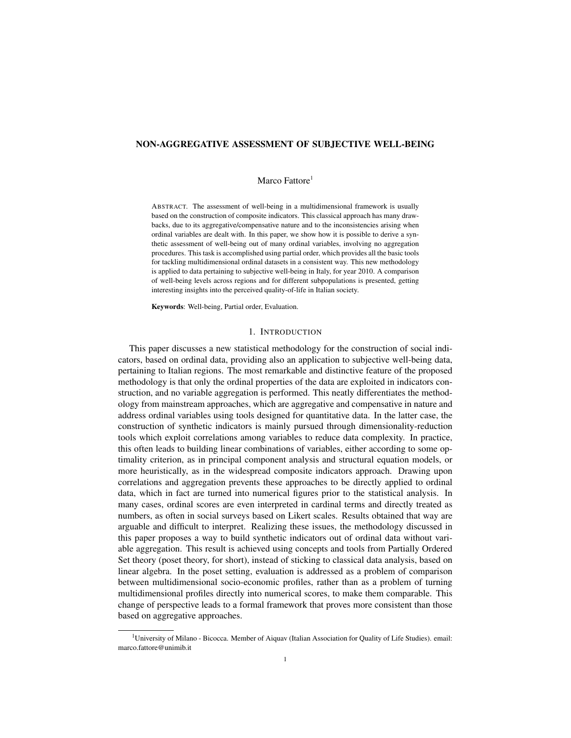## NON-AGGREGATIVE ASSESSMENT OF SUBJECTIVE WELL-BEING

# Marco Fattore<sup>1</sup>

ABSTRACT. The assessment of well-being in a multidimensional framework is usually based on the construction of composite indicators. This classical approach has many drawbacks, due to its aggregative/compensative nature and to the inconsistencies arising when ordinal variables are dealt with. In this paper, we show how it is possible to derive a synthetic assessment of well-being out of many ordinal variables, involving no aggregation procedures. This task is accomplished using partial order, which provides all the basic tools for tackling multidimensional ordinal datasets in a consistent way. This new methodology is applied to data pertaining to subjective well-being in Italy, for year 2010. A comparison of well-being levels across regions and for different subpopulations is presented, getting interesting insights into the perceived quality-of-life in Italian society.

Keywords: Well-being, Partial order, Evaluation.

## 1. INTRODUCTION

This paper discusses a new statistical methodology for the construction of social indicators, based on ordinal data, providing also an application to subjective well-being data, pertaining to Italian regions. The most remarkable and distinctive feature of the proposed methodology is that only the ordinal properties of the data are exploited in indicators construction, and no variable aggregation is performed. This neatly differentiates the methodology from mainstream approaches, which are aggregative and compensative in nature and address ordinal variables using tools designed for quantitative data. In the latter case, the construction of synthetic indicators is mainly pursued through dimensionality-reduction tools which exploit correlations among variables to reduce data complexity. In practice, this often leads to building linear combinations of variables, either according to some optimality criterion, as in principal component analysis and structural equation models, or more heuristically, as in the widespread composite indicators approach. Drawing upon correlations and aggregation prevents these approaches to be directly applied to ordinal data, which in fact are turned into numerical figures prior to the statistical analysis. In many cases, ordinal scores are even interpreted in cardinal terms and directly treated as numbers, as often in social surveys based on Likert scales. Results obtained that way are arguable and difficult to interpret. Realizing these issues, the methodology discussed in this paper proposes a way to build synthetic indicators out of ordinal data without variable aggregation. This result is achieved using concepts and tools from Partially Ordered Set theory (poset theory, for short), instead of sticking to classical data analysis, based on linear algebra. In the poset setting, evaluation is addressed as a problem of comparison between multidimensional socio-economic profiles, rather than as a problem of turning multidimensional profiles directly into numerical scores, to make them comparable. This change of perspective leads to a formal framework that proves more consistent than those based on aggregative approaches.

<sup>&</sup>lt;sup>1</sup>University of Milano - Bicocca. Member of Aiquav (Italian Association for Quality of Life Studies). email: marco.fattore@unimib.it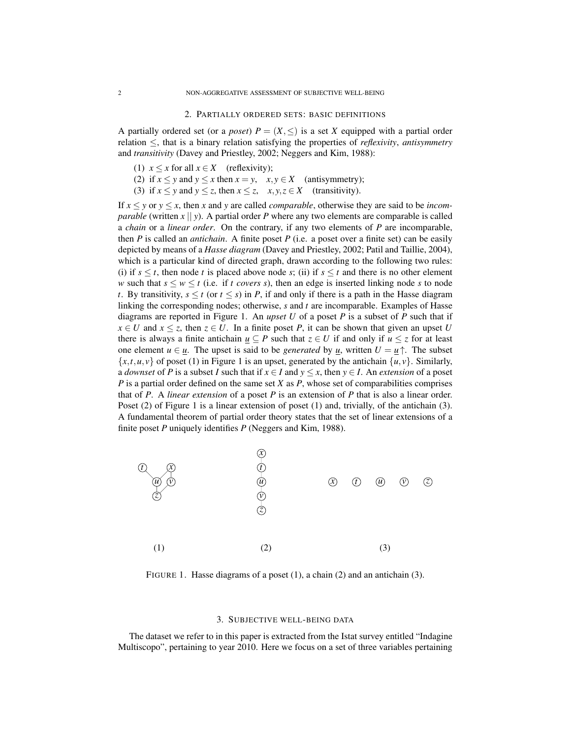#### 2. PARTIALLY ORDERED SETS: BASIC DEFINITIONS

A partially ordered set (or a *poset*)  $P = (X, \leq)$  is a set *X* equipped with a partial order relation ≤, that is a binary relation satisfying the properties of *reflexivity*, *antisymmetry* and *transitivity* (Davey and Priestley, 2002; Neggers and Kim, 1988):

- (1)  $x \leq x$  for all  $x \in X$  (reflexivity);
- (2) if  $x \le y$  and  $y \le x$  then  $x = y$ ,  $x, y \in X$  (antisymmetry);
- (3) if  $x \le y$  and  $y \le z$ , then  $x \le z$ ,  $x, y, z \in X$  (transitivity).

If  $x \leq y$  or  $y \leq x$ , then *x* and *y* are called *comparable*, otherwise they are said to be *incomparable* (written  $x \mid y$ ). A partial order P where any two elements are comparable is called a *chain* or a *linear order*. On the contrary, if any two elements of *P* are incomparable, then *P* is called an *antichain*. A finite poset *P* (i.e. a poset over a finite set) can be easily depicted by means of a *Hasse diagram* (Davey and Priestley, 2002; Patil and Taillie, 2004), which is a particular kind of directed graph, drawn according to the following two rules: (i) if  $s \leq t$ , then node *t* is placed above node *s*; (ii) if  $s \leq t$  and there is no other element *w* such that  $s \le w \le t$  (i.e. if *t covers s*), then an edge is inserted linking node *s* to node *t*. By transitivity,  $s \le t$  (or  $t \le s$ ) in *P*, if and only if there is a path in the Hasse diagram linking the corresponding nodes; otherwise, *s* and *t* are incomparable. Examples of Hasse diagrams are reported in Figure 1. An *upset U* of a poset *P* is a subset of *P* such that if *x* ∈ *U* and *x* ≤ *z*, then *z* ∈ *U*. In a finite poset *P*, it can be shown that given an upset *U* there is always a finite antichain  $u \subseteq P$  such that  $z \in U$  if and only if  $u \leq z$  for at least one element  $u \in u$ . The upset is said to be *generated* by *u*, written  $U = u \uparrow$ . The subset  ${x, t, u, v}$  of poset (1) in Figure 1 is an upset, generated by the antichain  ${u, v}$ . Similarly, a *downset* of *P* is a subset *I* such that if  $x \in I$  and  $y \le x$ , then  $y \in I$ . An *extension* of a poset *P* is a partial order defined on the same set *X* as *P*, whose set of comparabilities comprises that of *P*. A *linear extension* of a poset *P* is an extension of *P* that is also a linear order. Poset (2) of Figure 1 is a linear extension of poset (1) and, trivially, of the antichain (3). A fundamental theorem of partial order theory states that the set of linear extensions of a finite poset *P* uniquely identifies *P* (Neggers and Kim, 1988).



FIGURE 1. Hasse diagrams of a poset (1), a chain (2) and an antichain (3).

#### 3. SUBJECTIVE WELL-BEING DATA

The dataset we refer to in this paper is extracted from the Istat survey entitled "Indagine Multiscopo", pertaining to year 2010. Here we focus on a set of three variables pertaining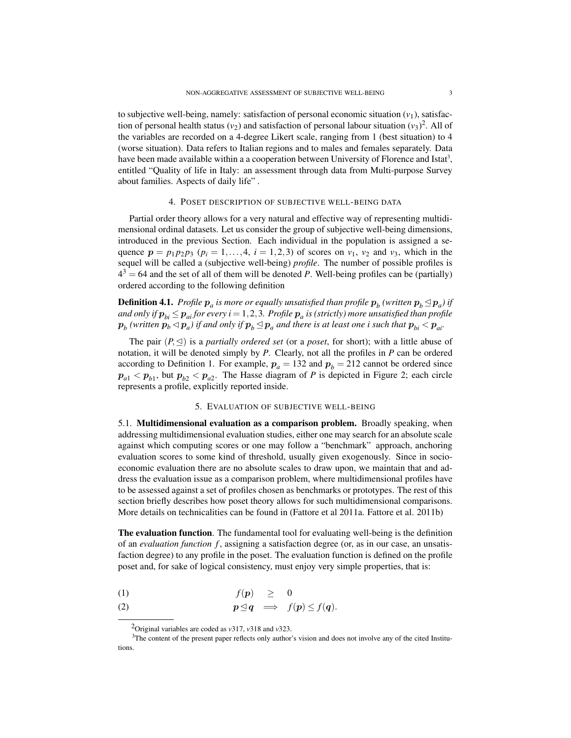to subjective well-being, namely: satisfaction of personal economic situation  $(v_1)$ , satisfaction of personal health status  $(v_2)$  and satisfaction of personal labour situation  $(v_3)^2$ . All of the variables are recorded on a 4-degree Likert scale, ranging from 1 (best situation) to 4 (worse situation). Data refers to Italian regions and to males and females separately. Data have been made available within a a cooperation between University of Florence and Istat<sup>3</sup>, entitled "Quality of life in Italy: an assessment through data from Multi-purpose Survey about families. Aspects of daily life" .

### 4. POSET DESCRIPTION OF SUBJECTIVE WELL-BEING DATA

Partial order theory allows for a very natural and effective way of representing multidimensional ordinal datasets. Let us consider the group of subjective well-being dimensions, introduced in the previous Section. Each individual in the population is assigned a sequence  $p = p_1 p_2 p_3$  ( $p_i = 1, ..., 4, i = 1, 2, 3$ ) of scores on  $v_1$ ,  $v_2$  and  $v_3$ , which in the sequel will be called a (subjective well-being) *profile*. The number of possible profiles is  $4<sup>3</sup> = 64$  and the set of all of them will be denoted *P*. Well-being profiles can be (partially) ordered according to the following definition

**Definition 4.1.** *Profile*  $\bm{p}_a$  *is more or equally unsatisfied than profile*  $\bm{p}_b$  (written  $\bm{p}_b \!\leq\! \bm{p}_a$ ) if and only if  $\boldsymbol{p}_{bi}\!\leq\!\boldsymbol{p}_{ai}$  for every  $i\!=\!1,2,3.$  Profile  $\boldsymbol{p}_{a}$  is (strictly) more unsatisfied than profile  $p_b$  (written  $p_b \triangleleft p_a$ ) if and only if  $p_b \triangleleft p_a$  and there is at least one i such that  $p_{bi} < p_{ai}$ .

The pair  $(P, \leq)$  is a *partially ordered set* (or a *poset*, for short); with a little abuse of notation, it will be denoted simply by *P*. Clearly, not all the profiles in *P* can be ordered according to Definition 1. For example,  $p_a = 132$  and  $p_b = 212$  cannot be ordered since  $p_{a1} < p_{b1}$ , but  $p_{b2} < p_{a2}$ . The Hasse diagram of *P* is depicted in Figure 2; each circle represents a profile, explicitly reported inside.

## 5. EVALUATION OF SUBJECTIVE WELL-BEING

5.1. Multidimensional evaluation as a comparison problem. Broadly speaking, when addressing multidimensional evaluation studies, either one may search for an absolute scale against which computing scores or one may follow a "benchmark" approach, anchoring evaluation scores to some kind of threshold, usually given exogenously. Since in socioeconomic evaluation there are no absolute scales to draw upon, we maintain that and address the evaluation issue as a comparison problem, where multidimensional profiles have to be assessed against a set of profiles chosen as benchmarks or prototypes. The rest of this section briefly describes how poset theory allows for such multidimensional comparisons. More details on technicalities can be found in (Fattore et al 2011a. Fattore et al. 2011b)

The evaluation function. The fundamental tool for evaluating well-being is the definition of an *evaluation function f* , assigning a satisfaction degree (or, as in our case, an unsatisfaction degree) to any profile in the poset. The evaluation function is defined on the profile poset and, for sake of logical consistency, must enjoy very simple properties, that is:

$$
(1) \t f(\mathbf{p}) \geq 0
$$

(2) pEq =⇒ *f*(p) ≤ *f*(q).

<sup>2</sup>Original variables are coded as *v*317, *v*318 and *v*323.

<sup>&</sup>lt;sup>3</sup>The content of the present paper reflects only author's vision and does not involve any of the cited Institutions.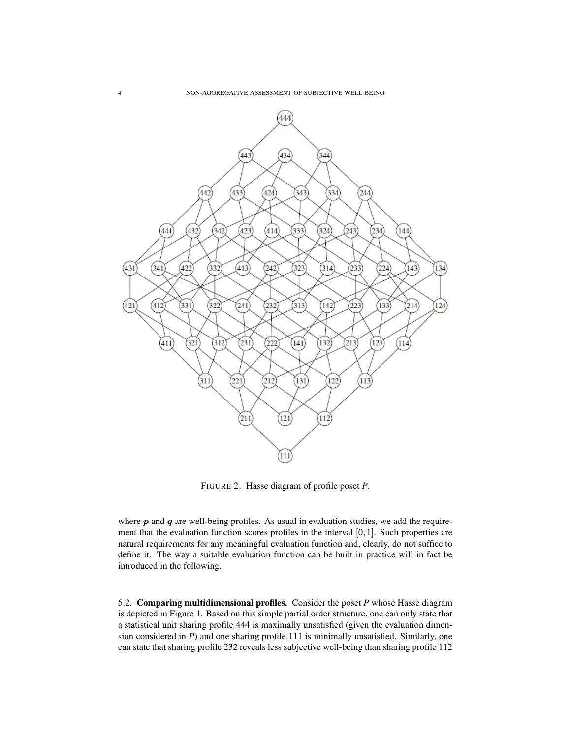

FIGURE 2. Hasse diagram of profile poset *P*.

where  $p$  and  $q$  are well-being profiles. As usual in evaluation studies, we add the requirement that the evaluation function scores profiles in the interval [0,1]. Such properties are natural requirements for any meaningful evaluation function and, clearly, do not suffice to define it. The way a suitable evaluation function can be built in practice will in fact be introduced in the following.

5.2. Comparing multidimensional profiles. Consider the poset *P* whose Hasse diagram is depicted in Figure 1. Based on this simple partial order structure, one can only state that a statistical unit sharing profile 444 is maximally unsatisfied (given the evaluation dimension considered in *P*) and one sharing profile 111 is minimally unsatisfied. Similarly, one can state that sharing profile 232 reveals less subjective well-being than sharing profile 112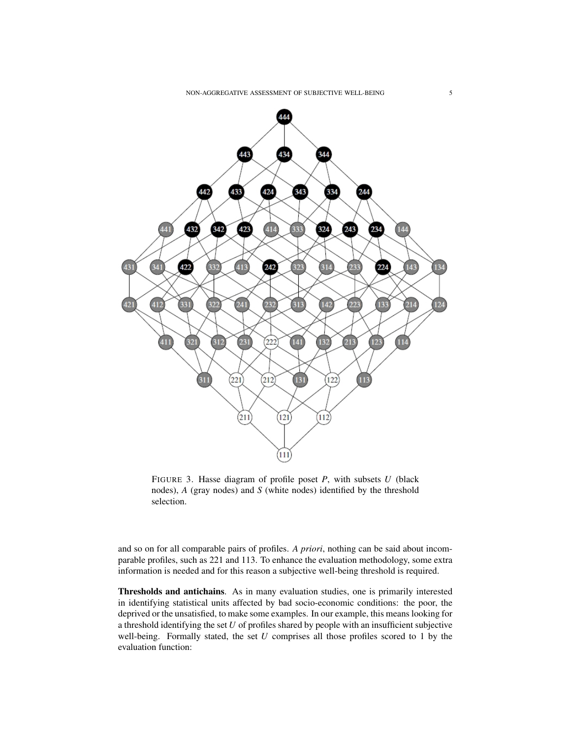

FIGURE 3. Hasse diagram of profile poset *P*, with subsets *U* (black nodes), *A* (gray nodes) and *S* (white nodes) identified by the threshold selection.

and so on for all comparable pairs of profiles. *A priori*, nothing can be said about incomparable profiles, such as 221 and 113. To enhance the evaluation methodology, some extra information is needed and for this reason a subjective well-being threshold is required.

Thresholds and antichains. As in many evaluation studies, one is primarily interested in identifying statistical units affected by bad socio-economic conditions: the poor, the deprived or the unsatisfied, to make some examples. In our example, this means looking for a threshold identifying the set *U* of profiles shared by people with an insufficient subjective well-being. Formally stated, the set *U* comprises all those profiles scored to 1 by the evaluation function: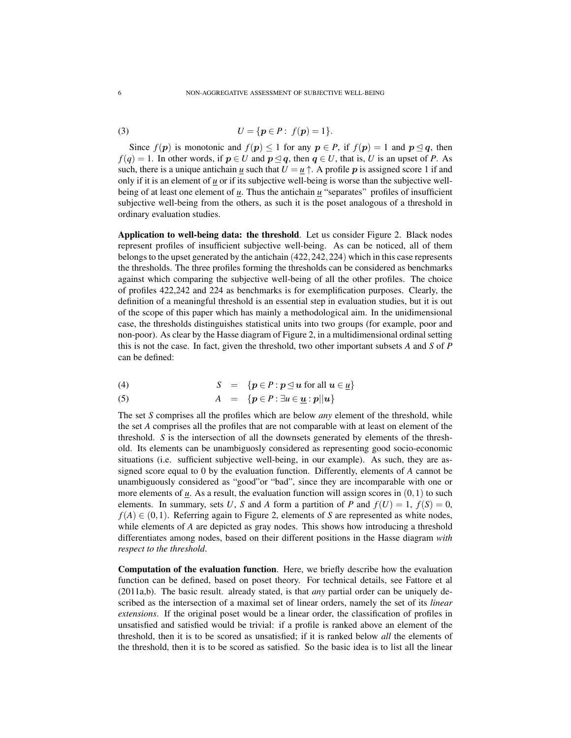(3) 
$$
U = \{p \in P: f(p) = 1\}.
$$

Since  $f(p)$  is monotonic and  $f(p) \le 1$  for any  $p \in P$ , if  $f(p) = 1$  and  $p \le q$ , then *f*(*q*) = 1. In other words, if  $p \in U$  and  $p \leq q$ , then  $q \in U$ , that is, *U* is an upset of *P*. As such, there is a unique antichain *u* such that  $U = u \uparrow$ . A profile *p* is assigned score 1 if and only if it is an element of  $\mu$  or if its subjective well-being is worse than the subjective wellbeing of at least one element of *u*. Thus the antichain *u* "separates" profiles of insufficient subjective well-being from the others, as such it is the poset analogous of a threshold in ordinary evaluation studies.

Application to well-being data: the threshold. Let us consider Figure 2. Black nodes represent profiles of insufficient subjective well-being. As can be noticed, all of them belongs to the upset generated by the antichain (422,242,224) which in this case represents the thresholds. The three profiles forming the thresholds can be considered as benchmarks against which comparing the subjective well-being of all the other profiles. The choice of profiles 422,242 and 224 as benchmarks is for exemplification purposes. Clearly, the definition of a meaningful threshold is an essential step in evaluation studies, but it is out of the scope of this paper which has mainly a methodological aim. In the unidimensional case, the thresholds distinguishes statistical units into two groups (for example, poor and non-poor). As clear by the Hasse diagram of Figure 2, in a multidimensional ordinal setting this is not the case. In fact, given the threshold, two other important subsets *A* and *S* of *P* can be defined:

(4) 
$$
S = \{p \in P : p \leq u \text{ for all } u \in \underline{u}\}\
$$

$$
(5) \qquad A = \{p \in P : \exists u \in \underline{u} : p||u\}
$$

The set *S* comprises all the profiles which are below *any* element of the threshold, while the set *A* comprises all the profiles that are not comparable with at least on element of the threshold. *S* is the intersection of all the downsets generated by elements of the threshold. Its elements can be unambiguosly considered as representing good socio-economic situations (i.e. sufficient subjective well-being, in our example). As such, they are assigned score equal to 0 by the evaluation function. Differently, elements of *A* cannot be unambiguously considered as "good"or "bad", since they are incomparable with one or more elements of  $u$ . As a result, the evaluation function will assign scores in  $(0,1)$  to such elements. In summary, sets *U*, *S* and *A* form a partition of *P* and  $f(U) = 1$ ,  $f(S) = 0$ ,  $f(A) \in (0,1)$ . Referring again to Figure 2, elements of *S* are represented as white nodes, while elements of *A* are depicted as gray nodes. This shows how introducing a threshold differentiates among nodes, based on their different positions in the Hasse diagram *with respect to the threshold*.

Computation of the evaluation function. Here, we briefly describe how the evaluation function can be defined, based on poset theory. For technical details, see Fattore et al (2011a,b). The basic result. already stated, is that *any* partial order can be uniquely described as the intersection of a maximal set of linear orders, namely the set of its *linear extensions*. If the original poset would be a linear order, the classification of profiles in unsatisfied and satisfied would be trivial: if a profile is ranked above an element of the threshold, then it is to be scored as unsatisfied; if it is ranked below *all* the elements of the threshold, then it is to be scored as satisfied. So the basic idea is to list all the linear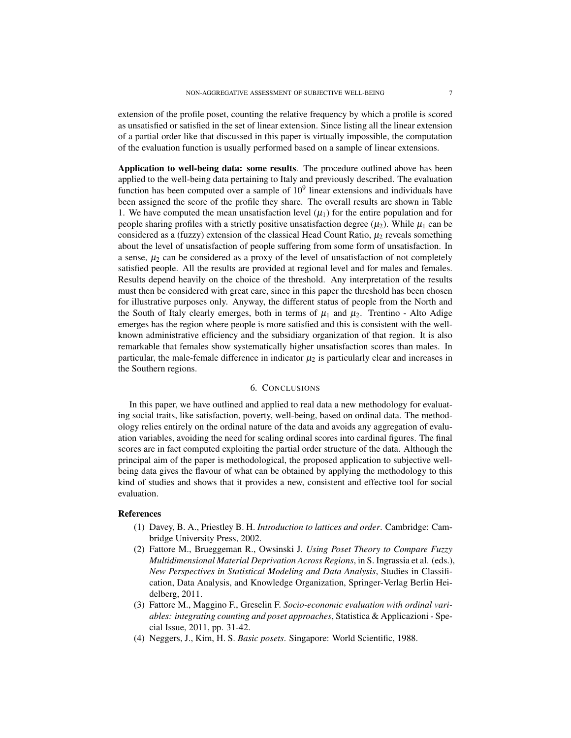extension of the profile poset, counting the relative frequency by which a profile is scored as unsatisfied or satisfied in the set of linear extension. Since listing all the linear extension of a partial order like that discussed in this paper is virtually impossible, the computation of the evaluation function is usually performed based on a sample of linear extensions.

Application to well-being data: some results. The procedure outlined above has been applied to the well-being data pertaining to Italy and previously described. The evaluation function has been computed over a sample of  $10<sup>9</sup>$  linear extensions and individuals have been assigned the score of the profile they share. The overall results are shown in Table 1. We have computed the mean unsatisfaction level  $(\mu_1)$  for the entire population and for people sharing profiles with a strictly positive unsatisfaction degree  $(\mu_2)$ . While  $\mu_1$  can be considered as a (fuzzy) extension of the classical Head Count Ratio,  $\mu_2$  reveals something about the level of unsatisfaction of people suffering from some form of unsatisfaction. In a sense,  $\mu_2$  can be considered as a proxy of the level of unsatisfaction of not completely satisfied people. All the results are provided at regional level and for males and females. Results depend heavily on the choice of the threshold. Any interpretation of the results must then be considered with great care, since in this paper the threshold has been chosen for illustrative purposes only. Anyway, the different status of people from the North and the South of Italy clearly emerges, both in terms of  $\mu_1$  and  $\mu_2$ . Trentino - Alto Adige emerges has the region where people is more satisfied and this is consistent with the wellknown administrative efficiency and the subsidiary organization of that region. It is also remarkable that females show systematically higher unsatisfaction scores than males. In particular, the male-female difference in indicator  $\mu_2$  is particularly clear and increases in the Southern regions.

#### 6. CONCLUSIONS

In this paper, we have outlined and applied to real data a new methodology for evaluating social traits, like satisfaction, poverty, well-being, based on ordinal data. The methodology relies entirely on the ordinal nature of the data and avoids any aggregation of evaluation variables, avoiding the need for scaling ordinal scores into cardinal figures. The final scores are in fact computed exploiting the partial order structure of the data. Although the principal aim of the paper is methodological, the proposed application to subjective wellbeing data gives the flavour of what can be obtained by applying the methodology to this kind of studies and shows that it provides a new, consistent and effective tool for social evaluation.

## References

- (1) Davey, B. A., Priestley B. H. *Introduction to lattices and order*. Cambridge: Cambridge University Press, 2002.
- (2) Fattore M., Brueggeman R., Owsinski J. *Using Poset Theory to Compare Fuzzy Multidimensional Material Deprivation Across Regions*, in S. Ingrassia et al. (eds.), *New Perspectives in Statistical Modeling and Data Analysis*, Studies in Classification, Data Analysis, and Knowledge Organization, Springer-Verlag Berlin Heidelberg, 2011.
- (3) Fattore M., Maggino F., Greselin F. *Socio-economic evaluation with ordinal variables: integrating counting and poset approaches*, Statistica & Applicazioni - Special Issue, 2011, pp. 31-42.
- (4) Neggers, J., Kim, H. S. *Basic posets*. Singapore: World Scientific, 1988.